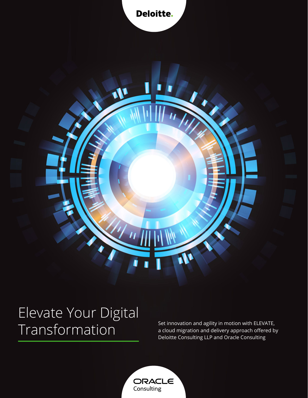

ORACLE Consulting

# Elevate Your Digital Set innovation and agility in motion with ELEVATE,<br>a cloud migration and delivery approach offered b

a cloud migration and delivery approach offered by Deloitte Consulting LLP and Oracle Consulting